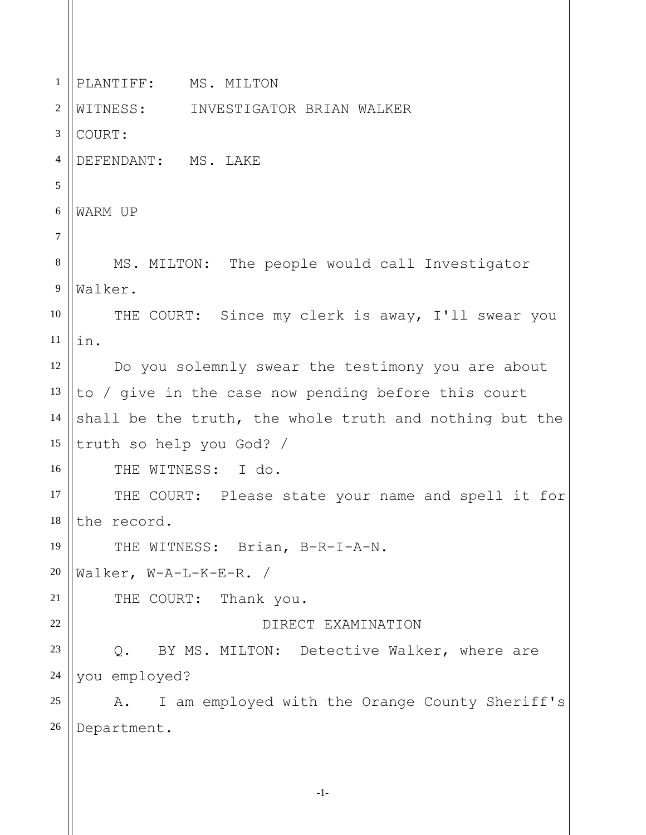1 2 3 4 5 6 7 8 9 10 11 12 13 14 15 16 17 18 19 20 21 22 23 24 25 26 PLANTIFF: MS. MILTON WITNESS: INVESTIGATOR BRIAN WALKER COURT: DEFENDANT: MS. LAKE WARM UP MS. MILTON: The people would call Investigator Walker. THE COURT: Since my clerk is away, I'll swear you in. Do you solemnly swear the testimony you are about to / give in the case now pending before this court shall be the truth, the whole truth and nothing but the truth so help you God? / THE WITNESS: I do. THE COURT: Please state your name and spell it for the record. THE WITNESS: Brian, B-R-I-A-N. Walker, W-A-L-K-E-R. / THE COURT: Thank you. DIRECT EXAMINATION Q. BY MS. MILTON: Detective Walker, where are you employed? A. I am employed with the Orange County Sheriff's Department.

-1-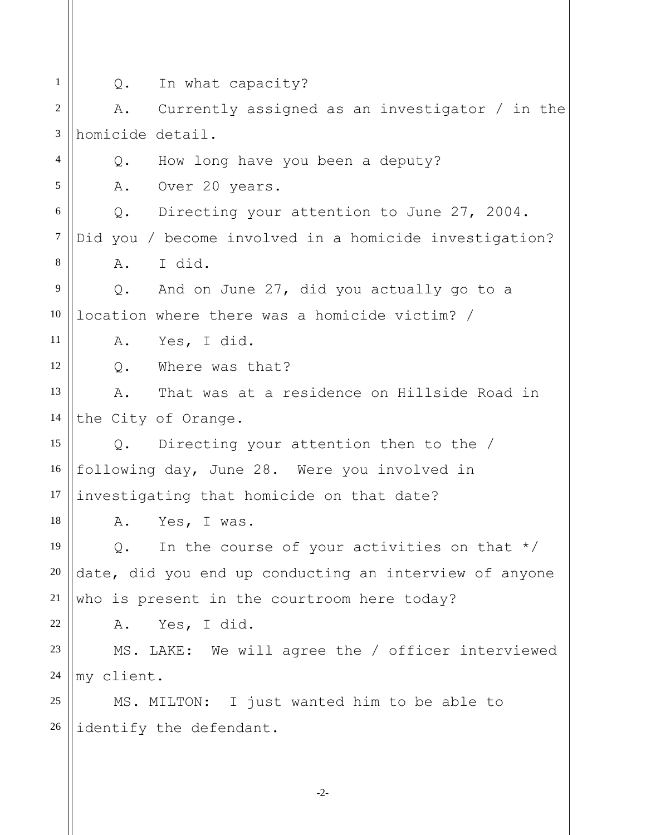1

5

11

12

18

22

Q. In what capacity?

2 3 4 A. Currently assigned as an investigator / in the homicide detail.

Q. How long have you been a deputy?

A. Over 20 years.

6 7 8 Q. Directing your attention to June 27, 2004. Did you / become involved in a homicide investigation? A. I did.

9 10 Q. And on June 27, did you actually go to a location where there was a homicide victim? /

A. Yes, I did.

Q. Where was that?

13 14 A. That was at a residence on Hillside Road in the City of Orange.

15 16 17 Q. Directing your attention then to the / following day, June 28. Were you involved in investigating that homicide on that date?

A. Yes, I was.

19 20 21 Q. In the course of your activities on that  $*/$ date, did you end up conducting an interview of anyone who is present in the courtroom here today?

A. Yes, I did.

23 24 MS. LAKE: We will agree the / officer interviewed my client.

25 26 MS. MILTON: I just wanted him to be able to identify the defendant.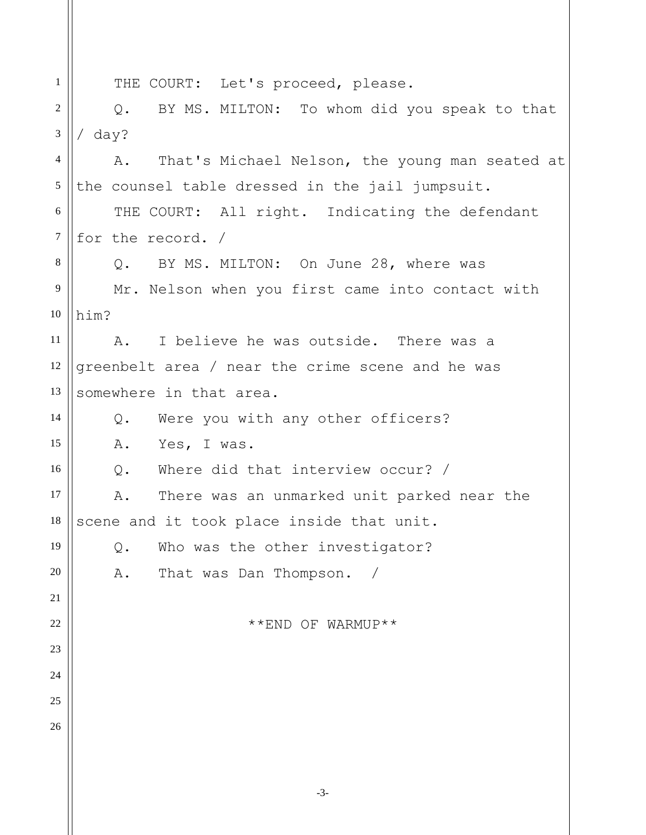1 2 3 4 5 6 7 8 9 10 11 12 13 14 15 16 17 18 19 20 21 22 23 24 25 26 THE COURT: Let's proceed, please. Q. BY MS. MILTON: To whom did you speak to that / day? A. That's Michael Nelson, the young man seated at the counsel table dressed in the jail jumpsuit. THE COURT: All right. Indicating the defendant for the record. / Q. BY MS. MILTON: On June 28, where was Mr. Nelson when you first came into contact with him? A. I believe he was outside. There was a greenbelt area / near the crime scene and he was somewhere in that area. Q. Were you with any other officers? A. Yes, I was. Q. Where did that interview occur? / A. There was an unmarked unit parked near the scene and it took place inside that unit. Q. Who was the other investigator? A. That was Dan Thompson. / \*\*END OF WARMUP\*\*

-3-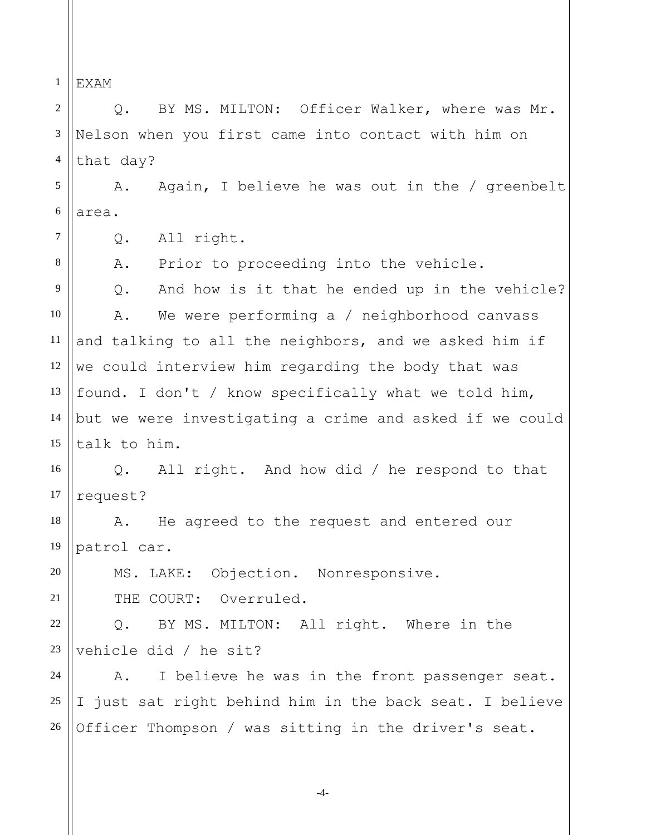1 EXAM

7

8

21

2 3 4 5 6 Q. BY MS. MILTON: Officer Walker, where was Mr. Nelson when you first came into contact with him on that day? A. Again, I believe he was out in the / greenbelt area.

Q. All right.

A. Prior to proceeding into the vehicle.

9 10 11 12 13 14 15 Q. And how is it that he ended up in the vehicle? A. We were performing a / neighborhood canvass and talking to all the neighbors, and we asked him if we could interview him regarding the body that was found. I don't / know specifically what we told him, but we were investigating a crime and asked if we could talk to him.

16 17 Q. All right. And how did / he respond to that request?

18 19 A. He agreed to the request and entered our patrol car.

20 MS. LAKE: Objection. Nonresponsive. THE COURT: Overruled.

22 23 Q. BY MS. MILTON: All right. Where in the vehicle did / he sit?

24 25 26 A. I believe he was in the front passenger seat. I just sat right behind him in the back seat. I believe Officer Thompson / was sitting in the driver's seat.

-4-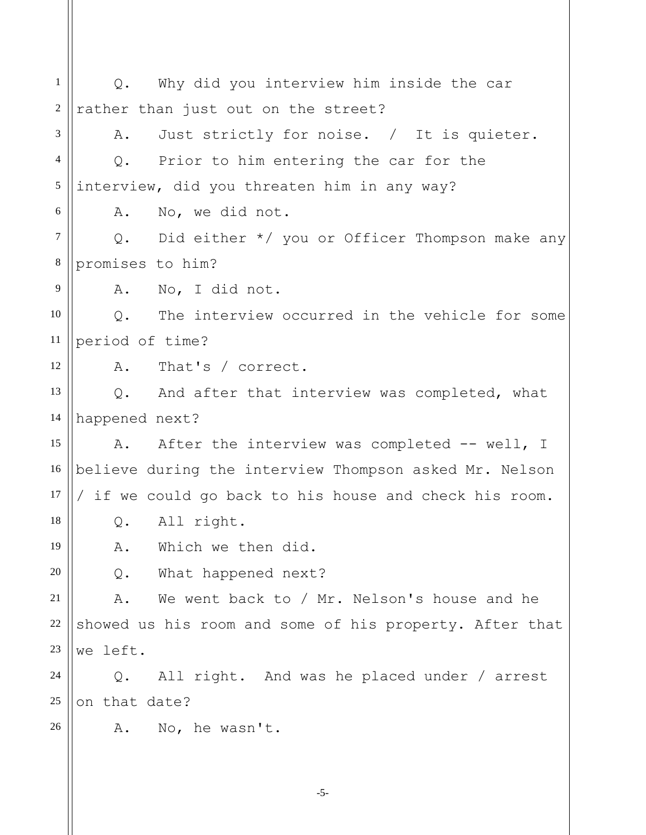1 2 3 4 5 6 7 8 9 10 11 12 13 14 15 16 17 18 19 20 21 22 23 24 25 26 Q. Why did you interview him inside the car rather than just out on the street? A. Just strictly for noise. / It is quieter. Q. Prior to him entering the car for the interview, did you threaten him in any way? A. No, we did not. Q. Did either \*/ you or Officer Thompson make any promises to him? A. No, I did not. Q. The interview occurred in the vehicle for some period of time? A. That's / correct. Q. And after that interview was completed, what happened next? A. After the interview was completed -- well, I believe during the interview Thompson asked Mr. Nelson / if we could go back to his house and check his room. Q. All right. A. Which we then did. Q. What happened next? A. We went back to / Mr. Nelson's house and he showed us his room and some of his property. After that we left. Q. All right. And was he placed under / arrest on that date? A. No, he wasn't.

-5-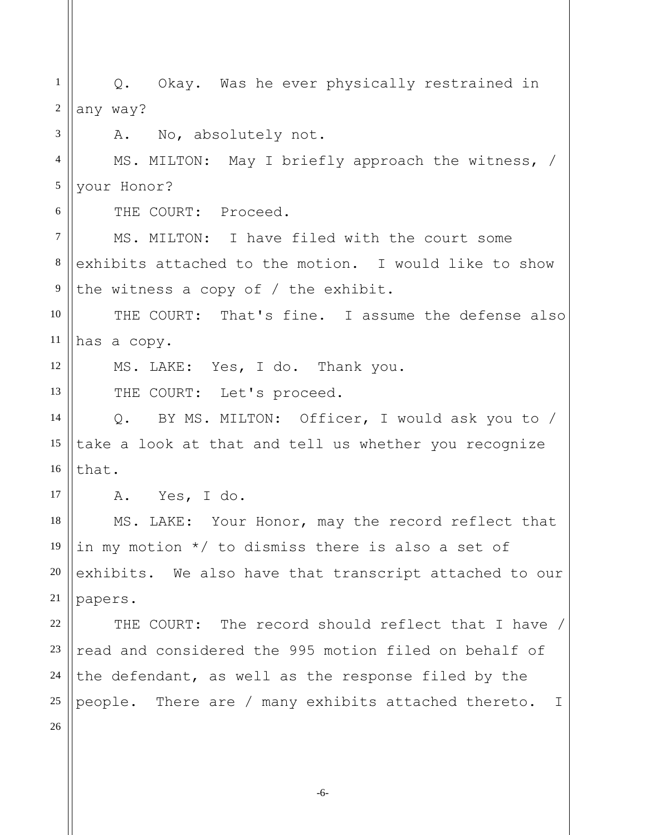1 2 3 4 5 6 7 8 9 10 11 12 13 14 15 16 17 18 19 20 21 22 23 24 25 26 Q. Okay. Was he ever physically restrained in any way? A. No, absolutely not. MS. MILTON: May I briefly approach the witness, / your Honor? THE COURT: Proceed. MS. MILTON: I have filed with the court some exhibits attached to the motion. I would like to show the witness a copy of / the exhibit. THE COURT: That's fine. I assume the defense also has a copy. MS. LAKE: Yes, I do. Thank you. THE COURT: Let's proceed. Q. BY MS. MILTON: Officer, I would ask you to / take a look at that and tell us whether you recognize that. A. Yes, I do. MS. LAKE: Your Honor, may the record reflect that in my motion \*/ to dismiss there is also a set of exhibits. We also have that transcript attached to our papers. THE COURT: The record should reflect that I have / read and considered the 995 motion filed on behalf of the defendant, as well as the response filed by the people. There are / many exhibits attached thereto. I

-6-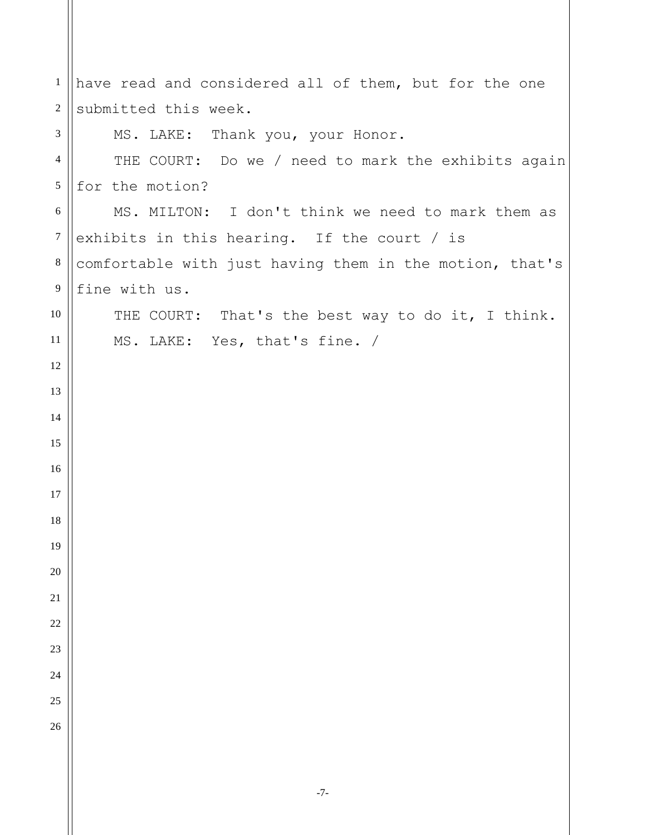| 1              | have read and considered all of them, but for the one   |
|----------------|---------------------------------------------------------|
| $\sqrt{2}$     | submitted this week.                                    |
| 3              | MS. LAKE: Thank you, your Honor.                        |
| $\overline{4}$ | THE COURT: Do we / need to mark the exhibits again      |
| $\sqrt{5}$     | for the motion?                                         |
| $6\,$          | MS. MILTON: I don't think we need to mark them as       |
| $\tau$         | exhibits in this hearing. If the court / is             |
| $\,8\,$        | comfortable with just having them in the motion, that's |
| 9              | fine with us.                                           |
| $10\,$         | THE COURT: That's the best way to do it, I think.       |
| 11             | MS. LAKE: Yes, that's fine. /                           |
| 12             |                                                         |
| 13             |                                                         |
| 14             |                                                         |
| 15             |                                                         |
| 16             |                                                         |
| 17             |                                                         |
| 18             |                                                         |
| 19             |                                                         |
| 20             |                                                         |
| 21             |                                                         |
| 22             |                                                         |
| 23             |                                                         |
| 24             |                                                         |
| 25             |                                                         |
| 26             |                                                         |
|                |                                                         |
|                |                                                         |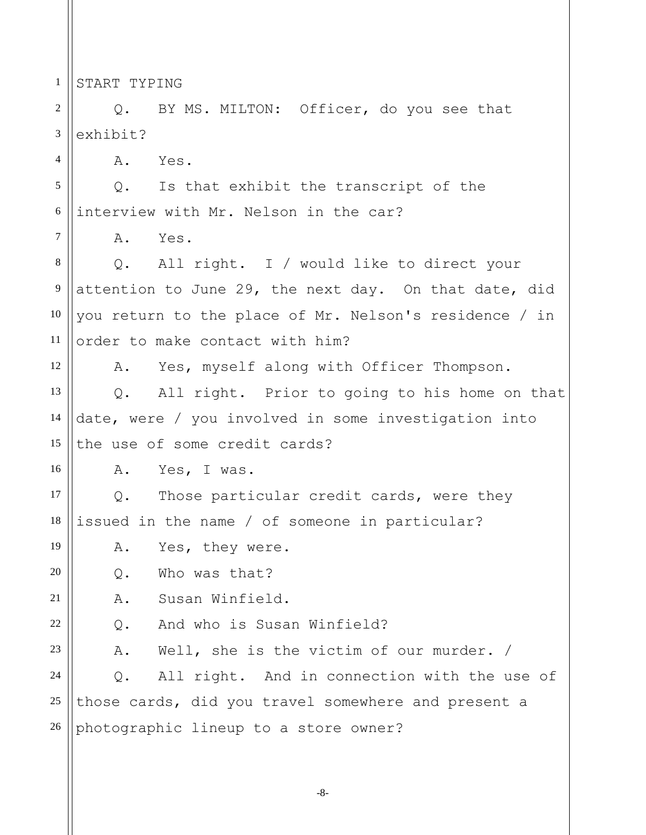1 START TYPING

4

7

12

16

19

20

21

22

2 3 Q. BY MS. MILTON: Officer, do you see that exhibit?

A. Yes.

5 6 Q. Is that exhibit the transcript of the interview with Mr. Nelson in the car?

A. Yes.

8 9 10 11 Q. All right. I / would like to direct your attention to June 29, the next day. On that date, did you return to the place of Mr. Nelson's residence / in order to make contact with him?

A. Yes, myself along with Officer Thompson.

13 14 15 Q. All right. Prior to going to his home on that date, were / you involved in some investigation into the use of some credit cards?

A. Yes, I was.

17 18 Q. Those particular credit cards, were they issued in the name / of someone in particular?

A. Yes, they were.

Q. Who was that?

A. Susan Winfield.

Q. And who is Susan Winfield?

23 A. Well, she is the victim of our murder. /

24 25 26 Q. All right. And in connection with the use of those cards, did you travel somewhere and present a photographic lineup to a store owner?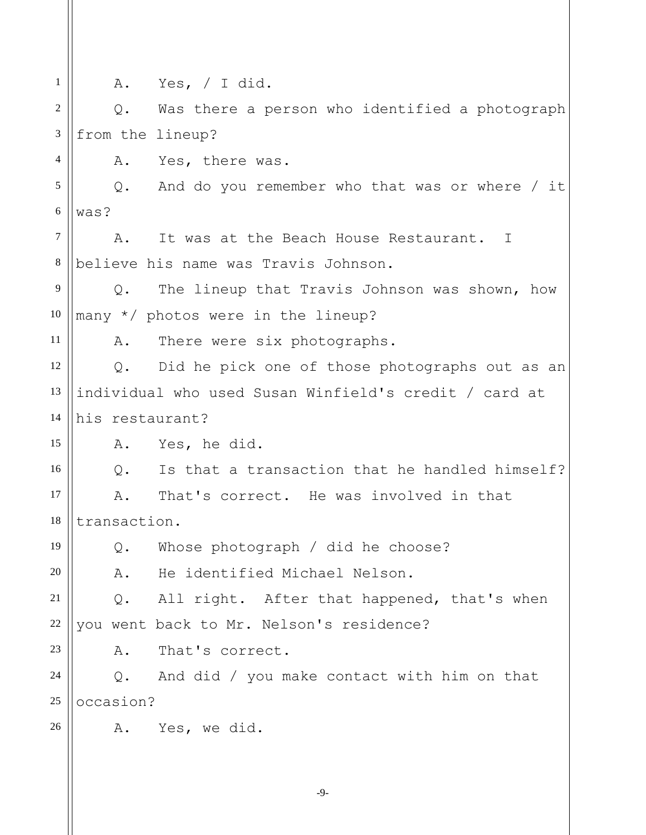1 2 3 4 5 6 7 8 9 10 11 12 13 14 15 16 17 18 19 20 21 22 23 24 25 26 A. Yes, / I did. Q. Was there a person who identified a photograph from the lineup? A. Yes, there was. Q. And do you remember who that was or where / it was? A. It was at the Beach House Restaurant. I believe his name was Travis Johnson. Q. The lineup that Travis Johnson was shown, how many \*/ photos were in the lineup? A. There were six photographs. Q. Did he pick one of those photographs out as an individual who used Susan Winfield's credit / card at his restaurant? A. Yes, he did. Q. Is that a transaction that he handled himself? A. That's correct. He was involved in that transaction. Q. Whose photograph / did he choose? A. He identified Michael Nelson. Q. All right. After that happened, that's when you went back to Mr. Nelson's residence? A. That's correct. Q. And did / you make contact with him on that occasion? A. Yes, we did.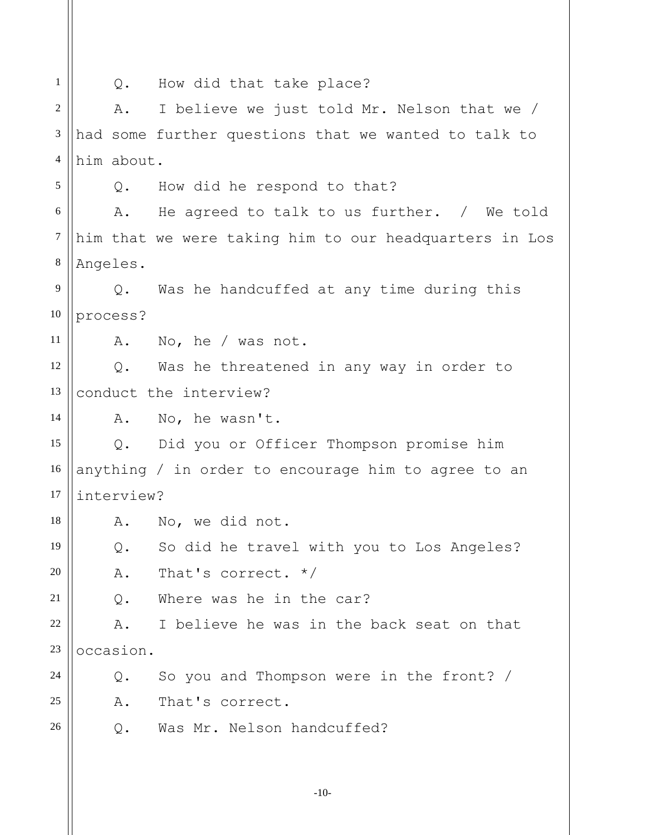| $\mathbf{1}$     | Q.            | How did that take place?                               |
|------------------|---------------|--------------------------------------------------------|
| $\sqrt{2}$       | Α.            | I believe we just told Mr. Nelson that we /            |
| 3                |               | had some further questions that we wanted to talk to   |
| $\overline{4}$   | him about.    |                                                        |
| 5                | Q.            | How did he respond to that?                            |
| 6                | Α.            | He agreed to talk to us further. / We told             |
| $\boldsymbol{7}$ |               | him that we were taking him to our headquarters in Los |
| $8\,$            | Angeles.      |                                                        |
| 9                | $Q_{\bullet}$ | Was he handcuffed at any time during this              |
| 10               | process?      |                                                        |
| 11               |               | A. No, he / was not.                                   |
| 12               |               | Q. Was he threatened in any way in order to            |
| 13               |               | conduct the interview?                                 |
| 14               | Α.            | No, he wasn't.                                         |
| 15               | $Q_{\bullet}$ | Did you or Officer Thompson promise him                |
| 16               |               | anything / in order to encourage him to agree to an    |
| 17               | interview?    |                                                        |
| 18               |               | A. No, we did not.                                     |
| 19               | Q.            | So did he travel with you to Los Angeles?              |
| 20               | Α.            | That's correct. $*/$                                   |
| 21               | Q.            | Where was he in the car?                               |
| 22               | Α.            | I believe he was in the back seat on that              |
| 23               | occasion.     |                                                        |
| 24               | Q.            | So you and Thompson were in the front? /               |
| 25               | Α.            | That's correct.                                        |
| 26               | Q.            | Was Mr. Nelson handcuffed?                             |
|                  |               |                                                        |
|                  |               |                                                        |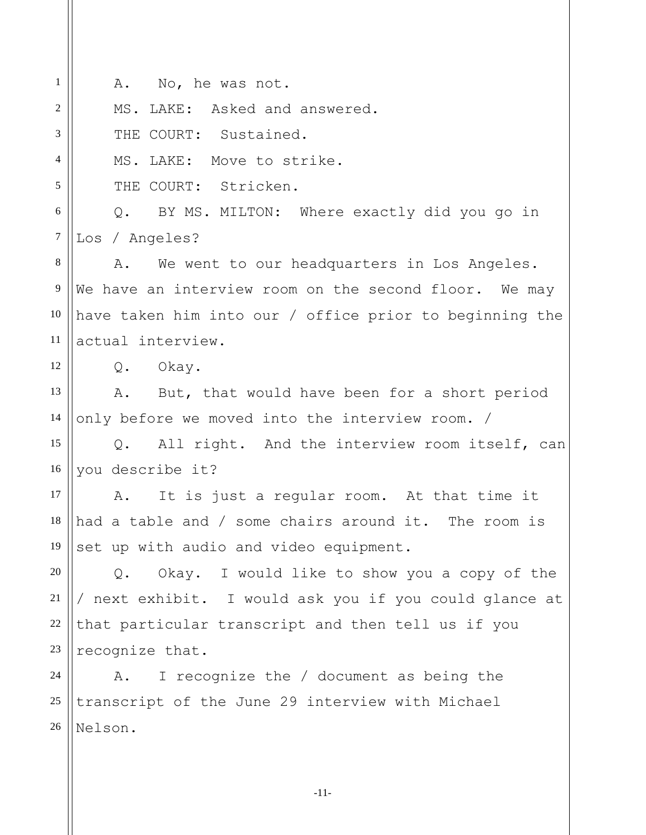| $\mathbf{1}$   | A. No, he was not.                                             |
|----------------|----------------------------------------------------------------|
| $\overline{2}$ | MS. LAKE: Asked and answered.                                  |
| 3              | THE COURT: Sustained.                                          |
| $\overline{4}$ | MS. LAKE: Move to strike.                                      |
| 5              | COURT: Stricken.<br>THE                                        |
| $6\,$          | Q. BY MS. MILTON: Where exactly did you go in                  |
| $\tau$         | Los / Angeles?                                                 |
| 8              | We went to our headquarters in Los Angeles.<br>Α.              |
| 9              | We have an interview room on the second floor. We may          |
| 10             | have taken him into our / office prior to beginning the        |
| 11             | actual interview.                                              |
| 12             | Q. Okay.                                                       |
| 13             | A. But, that would have been for a short period                |
| 14             | only before we moved into the interview room. /                |
| 15             | All right. And the interview room itself, can<br>$Q_{\bullet}$ |
| 16             | you describe it?                                               |
| 17             | It is just a regular room. At that time it<br>A.               |
| 18             | had a table and / some chairs around it. The room is           |
| 19             | set up with audio and video equipment.                         |
| 20             | Okay. I would like to show you a copy of the<br>$Q$ .          |
| 21             | / next exhibit. I would ask you if you could glance at         |
| 22             | that particular transcript and then tell us if you             |
| 23             | recognize that.                                                |
| 24             | I recognize the / document as being the<br>Α.                  |
| 25             | transcript of the June 29 interview with Michael               |
| 26             | Nelson.                                                        |
|                |                                                                |

-11-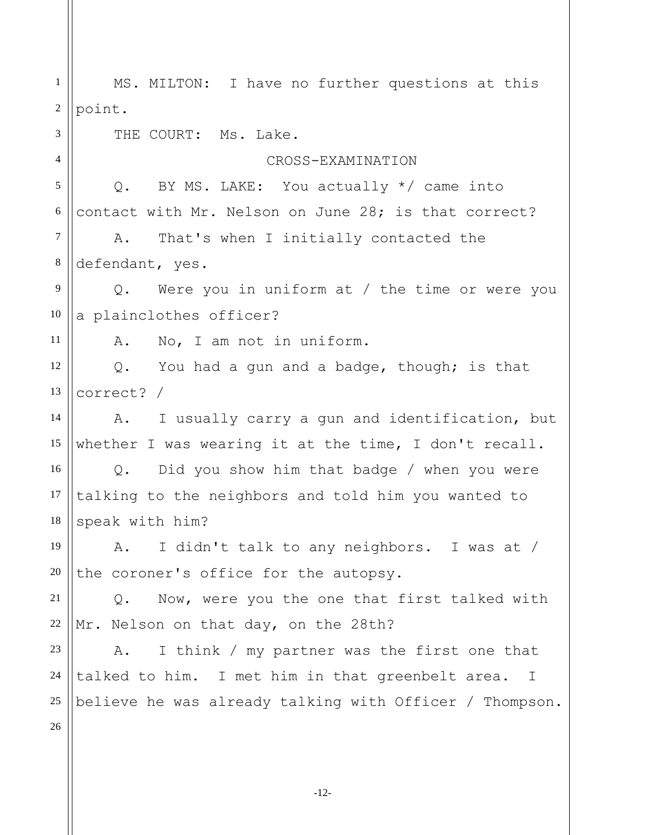1 2 3 4 5 6 7 8 9 10 11 12 13 14 15 16 17 18 19 20 21 22 23 24 25 26 MS. MILTON: I have no further questions at this point. THE COURT: Ms. Lake. CROSS-EXAMINATION Q. BY MS. LAKE: You actually \*/ came into contact with Mr. Nelson on June 28; is that correct? A. That's when I initially contacted the defendant, yes. Q. Were you in uniform at / the time or were you a plainclothes officer? A. No, I am not in uniform. Q. You had a gun and a badge, though; is that correct? / A. I usually carry a gun and identification, but whether I was wearing it at the time, I don't recall. Q. Did you show him that badge / when you were talking to the neighbors and told him you wanted to speak with him? A. I didn't talk to any neighbors. I was at / the coroner's office for the autopsy. Q. Now, were you the one that first talked with Mr. Nelson on that day, on the 28th? A. I think / my partner was the first one that talked to him. I met him in that greenbelt area. I believe he was already talking with Officer / Thompson.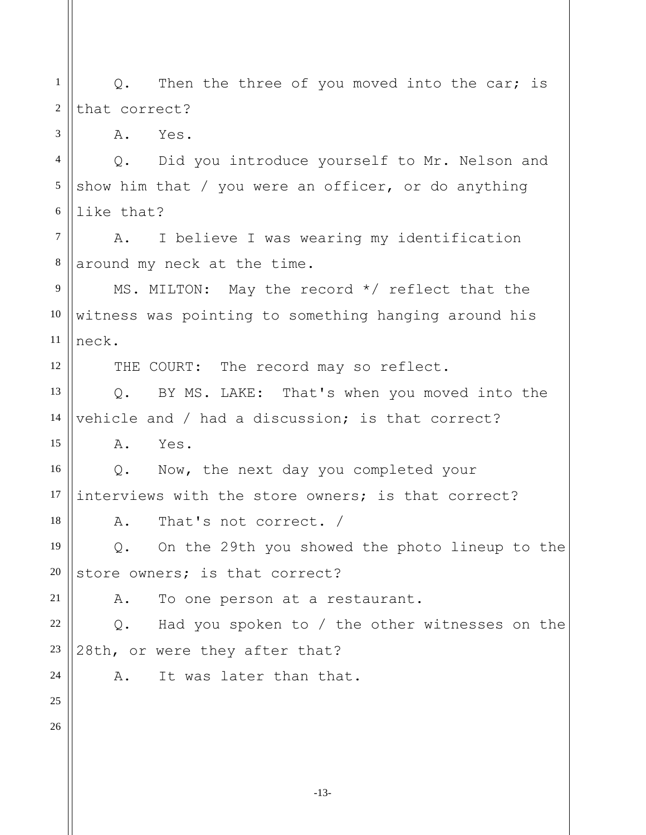1 2 3 4 5 6 7 8 9 10 11 12 13 14 15 16 17 18 19 20 21 22 23 24 25 26 Q. Then the three of you moved into the car; is that correct? A. Yes. Q. Did you introduce yourself to Mr. Nelson and show him that / you were an officer, or do anything like that? A. I believe I was wearing my identification around my neck at the time. MS. MILTON: May the record \*/ reflect that the witness was pointing to something hanging around his neck. THE COURT: The record may so reflect. Q. BY MS. LAKE: That's when you moved into the vehicle and / had a discussion; is that correct? A. Yes. Q. Now, the next day you completed your interviews with the store owners; is that correct? A. That's not correct. / Q. On the 29th you showed the photo lineup to the store owners; is that correct? A. To one person at a restaurant. Q. Had you spoken to / the other witnesses on the 28th, or were they after that? A. It was later than that.

-13-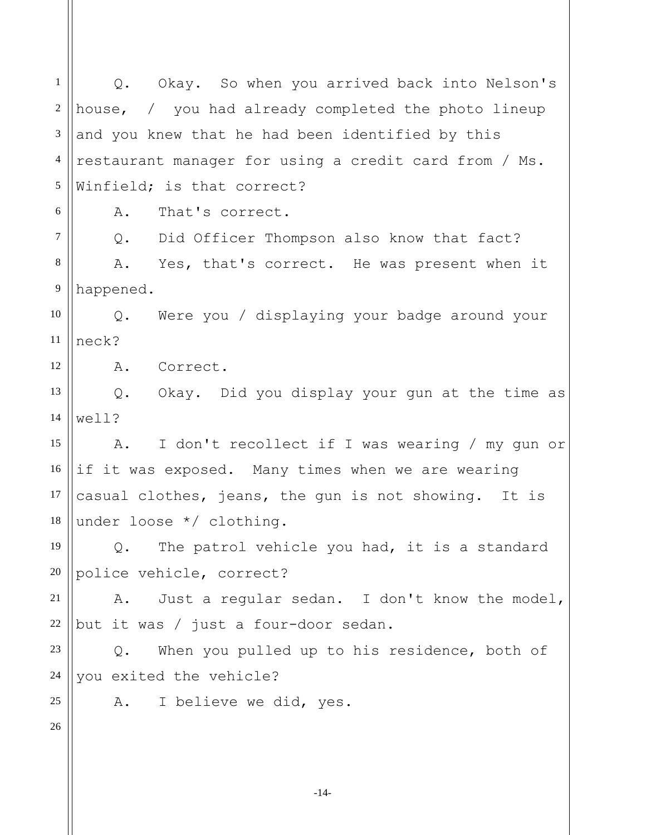1 2 3 4 5 6 7 8 9 10 11 12 13 14 15 16 17 18 19 20 21 22 23 24 25 26 Q. Okay. So when you arrived back into Nelson's house, / you had already completed the photo lineup and you knew that he had been identified by this restaurant manager for using a credit card from / Ms. Winfield; is that correct? A. That's correct. Q. Did Officer Thompson also know that fact? A. Yes, that's correct. He was present when it happened. Q. Were you / displaying your badge around your neck? A. Correct. Q. Okay. Did you display your gun at the time as well? A. I don't recollect if I was wearing / my gun or if it was exposed. Many times when we are wearing casual clothes, jeans, the gun is not showing. It is under loose \*/ clothing. Q. The patrol vehicle you had, it is a standard police vehicle, correct? A. Just a regular sedan. I don't know the model, but it was / just a four-door sedan. Q. When you pulled up to his residence, both of you exited the vehicle? A. I believe we did, yes.

-14-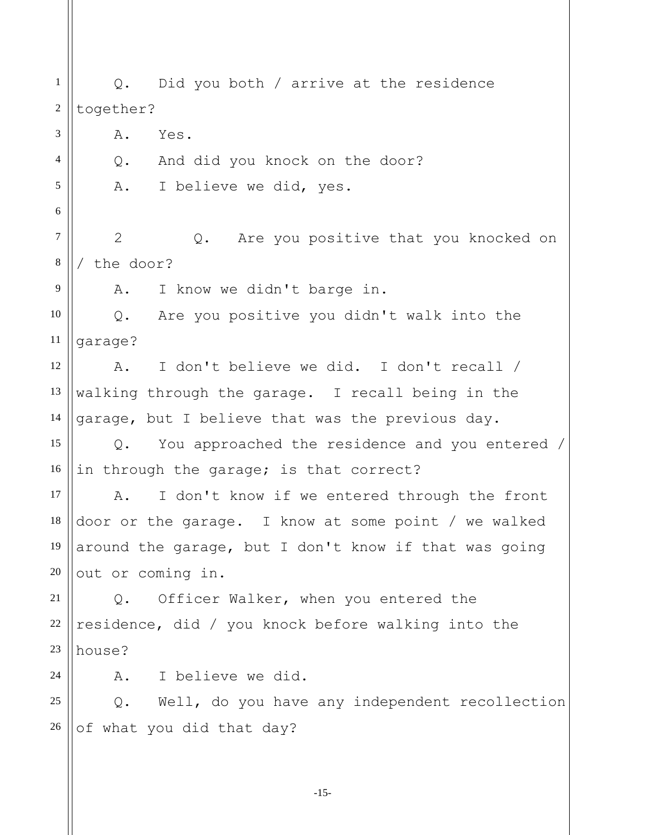1 2 3 4 5 6 7 8 9 10 11 12 13 14 15 16 17 18 19 20 21 22 23 24 25 26 Q. Did you both / arrive at the residence together? A. Yes. Q. And did you knock on the door? A. I believe we did, yes. 2 Q. Are you positive that you knocked on / the door? A. I know we didn't barge in. Q. Are you positive you didn't walk into the garage? A. I don't believe we did. I don't recall / walking through the garage. I recall being in the garage, but I believe that was the previous day. Q. You approached the residence and you entered / in through the garage; is that correct? A. I don't know if we entered through the front door or the garage. I know at some point / we walked around the garage, but I don't know if that was going out or coming in. Q. Officer Walker, when you entered the residence, did / you knock before walking into the house? A. I believe we did. Q. Well, do you have any independent recollection of what you did that day?

-15-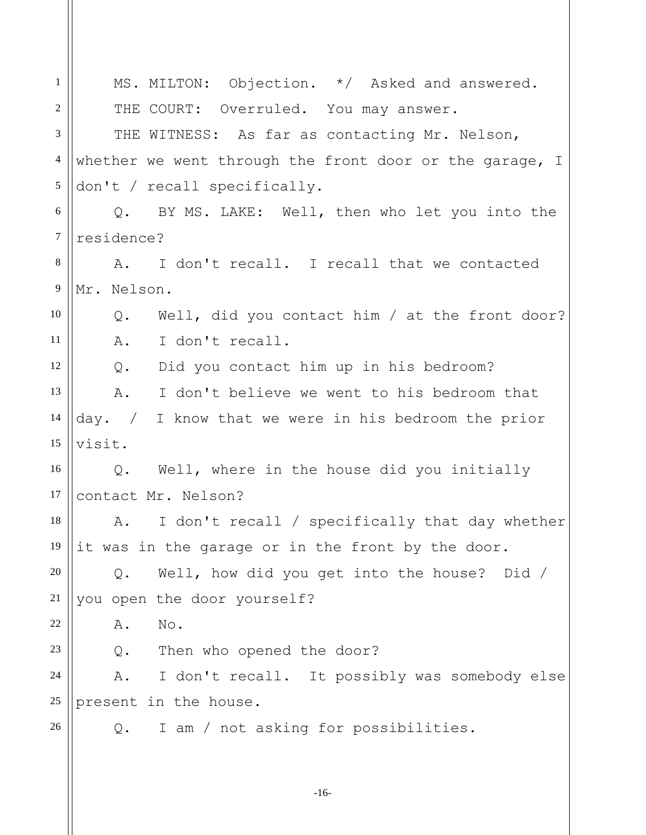1 2 3 4 5 6 7 8 9 10 11 12 13 14 15 16 17 18 19 20 21 22 23 24 25 26 MS. MILTON: Objection. \*/ Asked and answered. THE COURT: Overruled. You may answer. THE WITNESS: As far as contacting Mr. Nelson, whether we went through the front door or the garage, I don't / recall specifically. Q. BY MS. LAKE: Well, then who let you into the residence? A. I don't recall. I recall that we contacted Mr. Nelson. Q. Well, did you contact him / at the front door? A. I don't recall. Q. Did you contact him up in his bedroom? A. I don't believe we went to his bedroom that day. / I know that we were in his bedroom the prior visit. Q. Well, where in the house did you initially contact Mr. Nelson? A. I don't recall / specifically that day whether it was in the garage or in the front by the door. Q. Well, how did you get into the house? Did / you open the door yourself? A. No. Q. Then who opened the door? A. I don't recall. It possibly was somebody else present in the house. Q. I am / not asking for possibilities.

-16-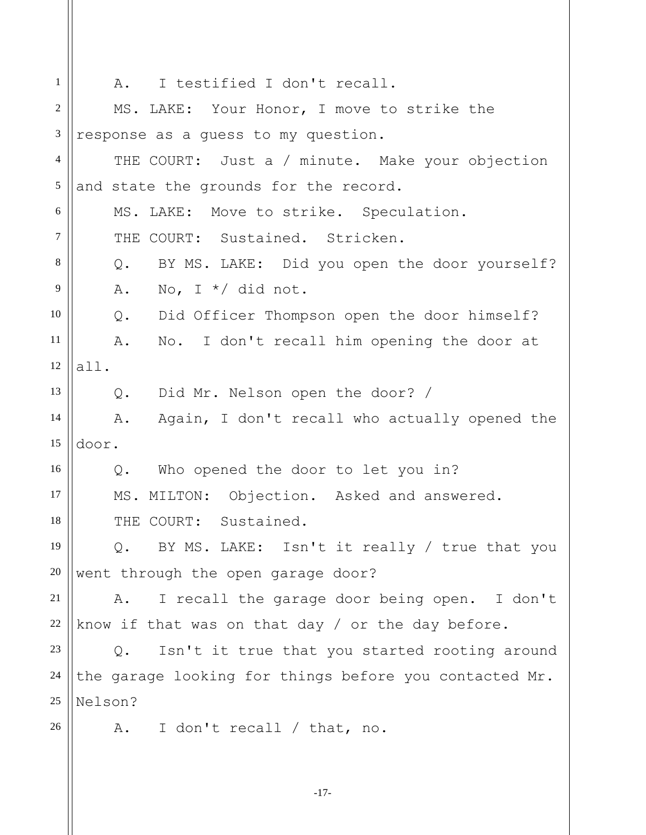1 2 3 4 5 6 7 8 9 10 11 12 13 14 15 16 17 18 19 20 21 22 23 24 25 26 A. I testified I don't recall. MS. LAKE: Your Honor, I move to strike the response as a guess to my question. THE COURT: Just a / minute. Make your objection and state the grounds for the record. MS. LAKE: Move to strike. Speculation. THE COURT: Sustained. Stricken. Q. BY MS. LAKE: Did you open the door yourself? A. No, I  $*/$  did not. Q. Did Officer Thompson open the door himself? A. No. I don't recall him opening the door at all. Q. Did Mr. Nelson open the door? / A. Again, I don't recall who actually opened the door. Q. Who opened the door to let you in? MS. MILTON: Objection. Asked and answered. THE COURT: Sustained. Q. BY MS. LAKE: Isn't it really / true that you went through the open garage door? A. I recall the garage door being open. I don't know if that was on that day / or the day before. Q. Isn't it true that you started rooting around the garage looking for things before you contacted Mr. Nelson? A. I don't recall / that, no.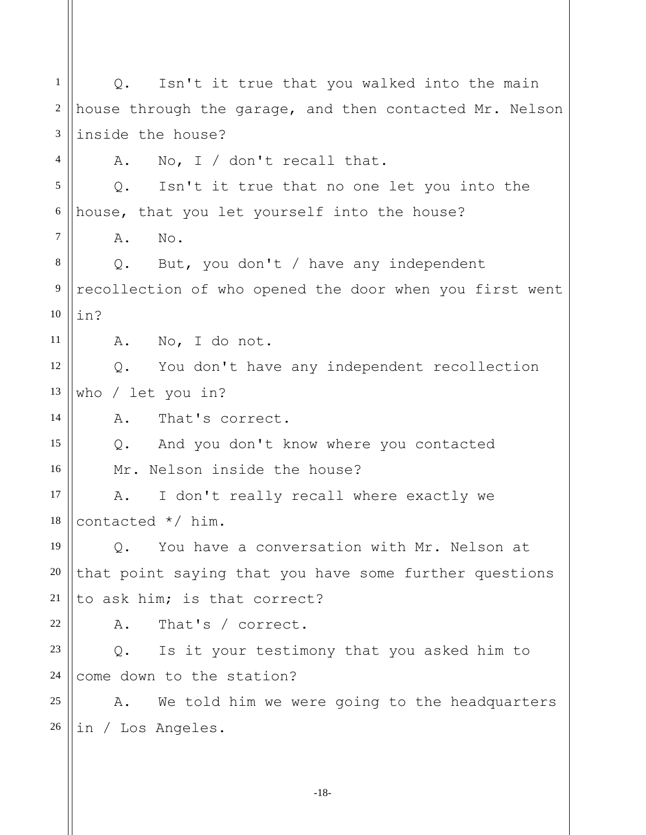1 2 3 4 5 6 7 8 9 10 11 12 13 14 15 16 17 18 19 20 21 22 23 24 25 26 Q. Isn't it true that you walked into the main house through the garage, and then contacted Mr. Nelson inside the house? A. No, I / don't recall that. Q. Isn't it true that no one let you into the house, that you let yourself into the house? A. No. Q. But, you don't / have any independent recollection of who opened the door when you first went in? A. No, I do not. Q. You don't have any independent recollection who / let you in? A. That's correct. Q. And you don't know where you contacted Mr. Nelson inside the house? A. I don't really recall where exactly we contacted \*/ him. Q. You have a conversation with Mr. Nelson at that point saying that you have some further questions to ask him; is that correct? A. That's / correct. Q. Is it your testimony that you asked him to come down to the station? A. We told him we were going to the headquarters in / Los Angeles.

-18-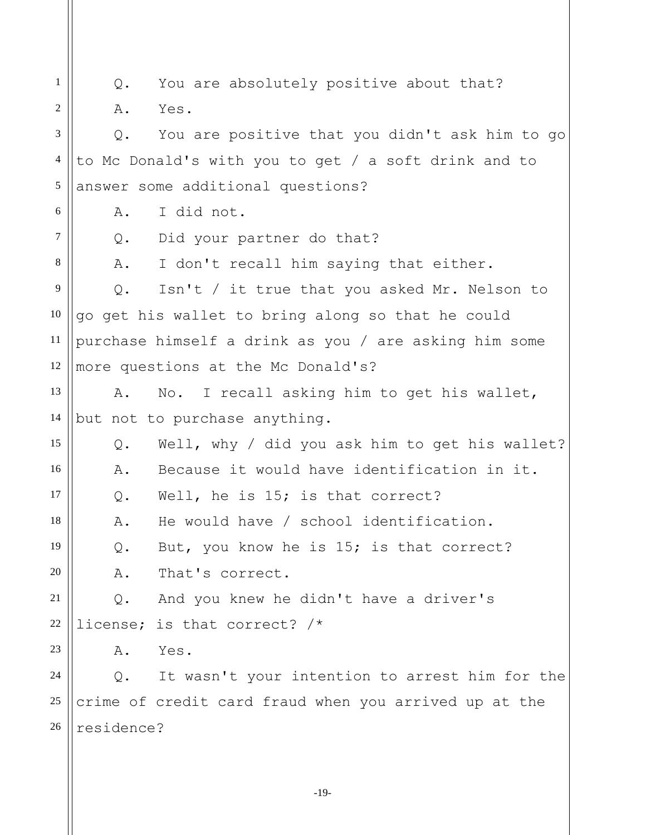1 2 3 4 5 6 7 8 9 10 11 12 13 14 15 16 17 18 19 20 21 22 23 24 25 26 Q. You are absolutely positive about that? A. Yes. Q. You are positive that you didn't ask him to go to Mc Donald's with you to get / a soft drink and to answer some additional questions? A. I did not. Q. Did your partner do that? A. I don't recall him saying that either. Q. Isn't / it true that you asked Mr. Nelson to go get his wallet to bring along so that he could purchase himself a drink as you / are asking him some more questions at the Mc Donald's? A. No. I recall asking him to get his wallet, but not to purchase anything. Q. Well, why / did you ask him to get his wallet? A. Because it would have identification in it. Q. Well, he is 15; is that correct? A. He would have / school identification. Q. But, you know he is 15; is that correct? A. That's correct. Q. And you knew he didn't have a driver's license; is that correct? /\* A. Yes. Q. It wasn't your intention to arrest him for the crime of credit card fraud when you arrived up at the residence?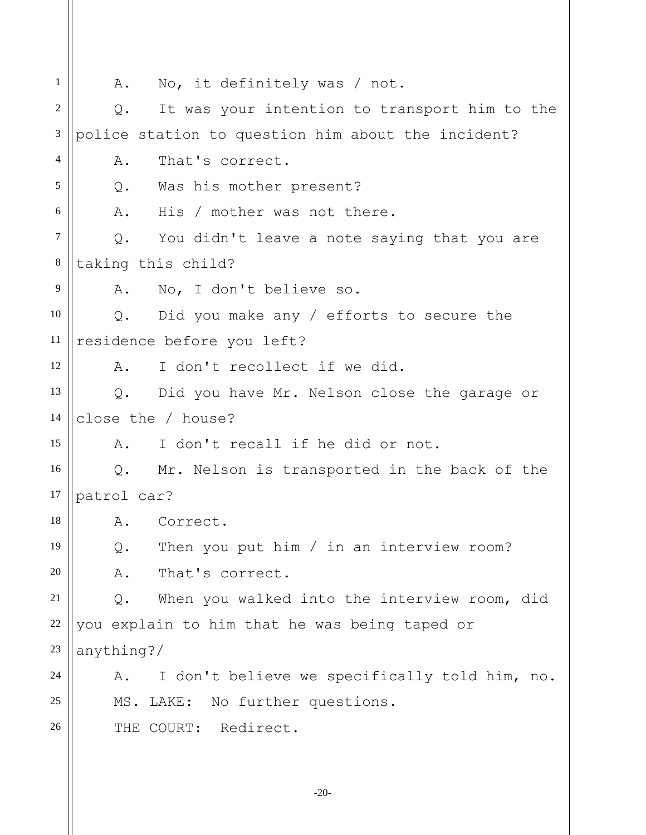1 2 3 4 5 6 7 8 9 10 11 12 13 14 15 16 17 18 19 20 21 22 23 24 25 26 A. No, it definitely was / not. Q. It was your intention to transport him to the police station to question him about the incident? A. That's correct. Q. Was his mother present? A. His / mother was not there. Q. You didn't leave a note saying that you are taking this child? A. No, I don't believe so. Q. Did you make any / efforts to secure the residence before you left? A. I don't recollect if we did. Q. Did you have Mr. Nelson close the garage or close the / house? A. I don't recall if he did or not. Q. Mr. Nelson is transported in the back of the patrol car? A. Correct. Q. Then you put him / in an interview room? A. That's correct. Q. When you walked into the interview room, did you explain to him that he was being taped or anything?/ A. I don't believe we specifically told him, no. MS. LAKE: No further questions. THE COURT: Redirect.